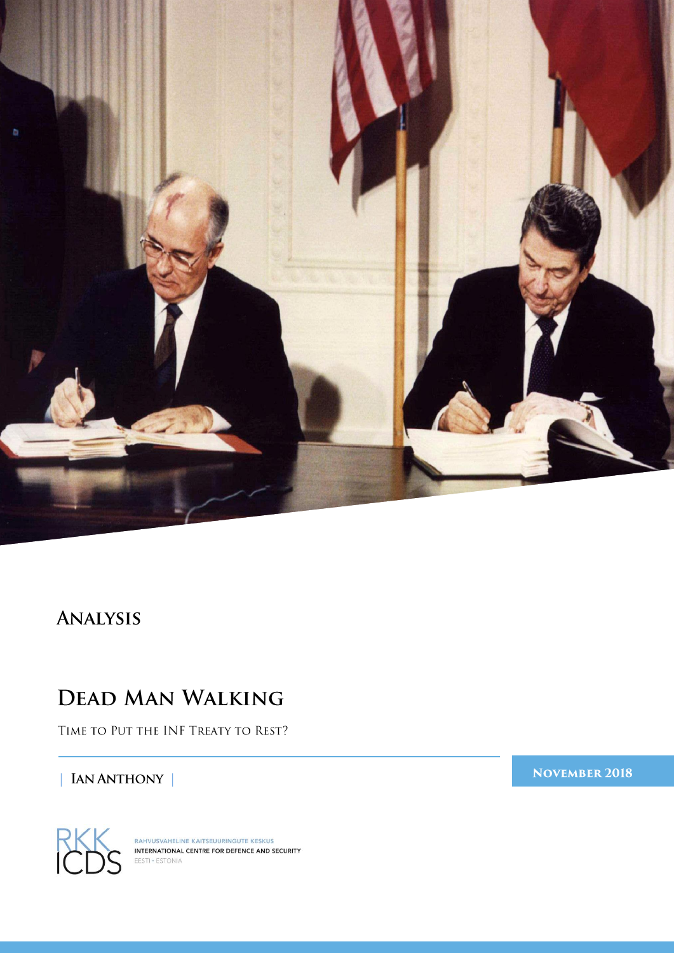

## ANALYSIS

# **DEAD MAN WALKING**

TIME TO PUT THE INF TREATY TO REST?

### | IAN ANTHONY |

**NOVEMBER 2018** 



RAHVUSVAHELINE KAITSEUURINGUTE KESKUS<br>INTERNATIONAL CENTRE FOR DEFENCE AND SECURITY EESTI . ESTONIA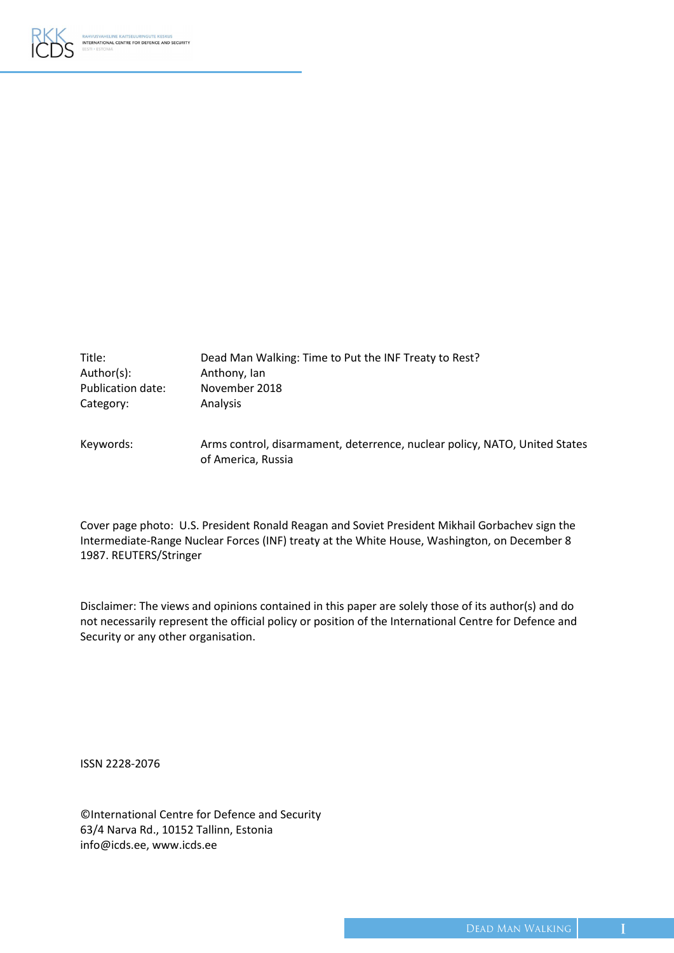

| Title:            | Dead Man Walking: Time to Put the INF Treaty to Rest?                      |
|-------------------|----------------------------------------------------------------------------|
| Author(s):        | Anthony, Ian                                                               |
| Publication date: | November 2018                                                              |
| Category:         | Analysis                                                                   |
| Keywords:         | Arms control, disarmament, deterrence, nuclear policy, NATO, United States |

of America, Russia

Cover page photo: U.S. President Ronald Reagan and Soviet President Mikhail Gorbachev sign the Intermediate-Range Nuclear Forces (INF) treaty at the White House, Washington, on December 8 1987. REUTERS/Stringer

Disclaimer: The views and opinions contained in this paper are solely those of its author(s) and do not necessarily represent the official policy or position of the International Centre for Defence and Security or any other organisation.

ISSN 2228-2076

©International Centre for Defence and Security 63/4 Narva Rd., 10152 Tallinn, Estonia info@icds.ee[, www.icds.ee](http://www.icds.ee/)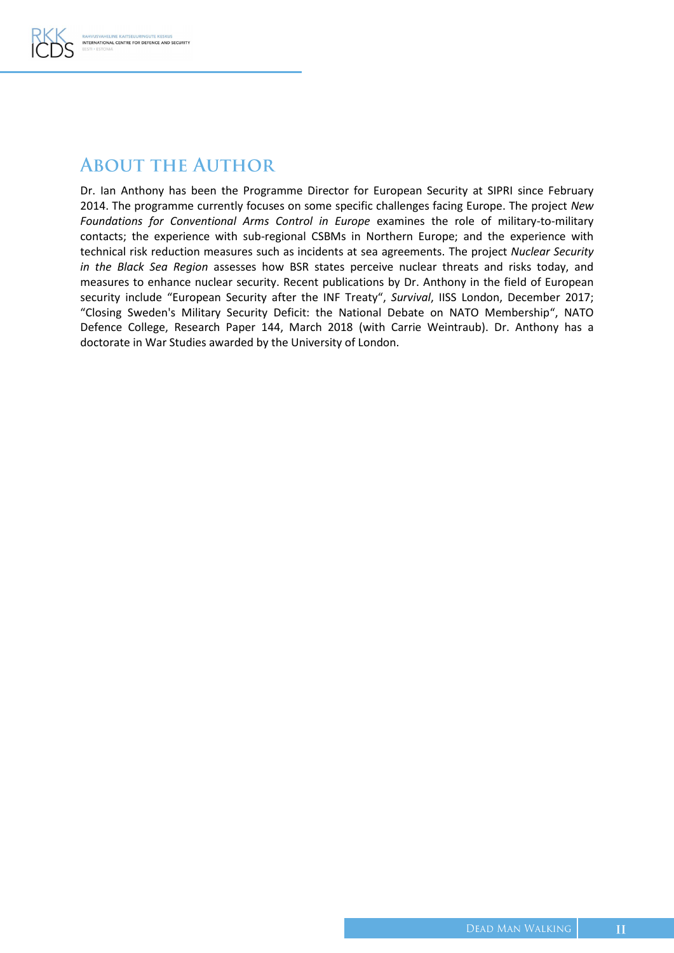

## **ABOUT THE AUTHOR**

Dr. Ian Anthony has been the Programme Director for European Security at SIPRI since February 2014. The programme currently focuses on some specific challenges facing Europe. The project *New Foundations for Conventional Arms Control in Europe* examines the role of military-to-military contacts; the experience with sub-regional CSBMs in Northern Europe; and the experience with technical risk reduction measures such as incidents at sea agreements. The project *Nuclear Security in the Black Sea Region* assesses how BSR states perceive nuclear threats and risks today, and measures to enhance nuclear security. Recent publications by Dr. Anthony in the field of European security include "European Security after the INF Treaty", *Survival*, IISS London, December 2017; "Closing Sweden's Military Security Deficit: the National Debate on NATO Membership", NATO Defence College, Research Paper 144, March 2018 (with Carrie Weintraub). Dr. Anthony has a doctorate in War Studies awarded by the University of London.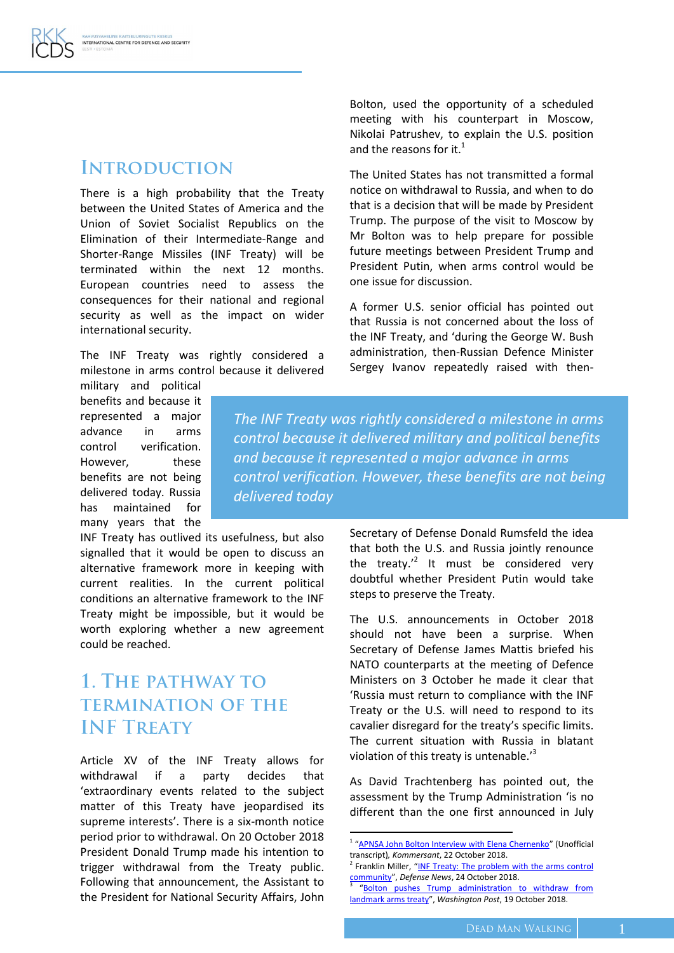### **INTRODUCTION**

There is a high probability that the Treaty between the United States of America and the Union of Soviet Socialist Republics on the Elimination of their Intermediate-Range and Shorter-Range Missiles (INF Treaty) will be terminated within the next 12 months. European countries need to assess the consequences for their national and regional security as well as the impact on wider international security.

The INF Treaty was rightly considered a milestone in arms control because it delivered

military and political benefits and because it represented a major advance in arms control verification. However, these benefits are not being delivered today. Russia has maintained for many years that the

INF Treaty has outlived its usefulness, but also signalled that it would be open to discuss an alternative framework more in keeping with current realities. In the current political conditions an alternative framework to the INF Treaty might be impossible, but it would be worth exploring whether a new agreement could be reached.

## 1. THE PATHWAY TO **TERMINATION OF THE INF TREATY**

Article XV of the INF Treaty allows for withdrawal if a party decides that 'extraordinary events related to the subject matter of this Treaty have jeopardised its supreme interests'. There is a six-month notice period prior to withdrawal. On 20 October 2018 President Donald Trump made his intention to trigger withdrawal from the Treaty public. Following that announcement, the Assistant to the President for National Security Affairs, John Bolton, used the opportunity of a scheduled meeting with his counterpart in Moscow, Nikolai Patrushev, to explain the U.S. position and the reasons for it. $<sup>1</sup>$ </sup>

The United States has not transmitted a formal notice on withdrawal to Russia, and when to do that is a decision that will be made by President Trump. The purpose of the visit to Moscow by Mr Bolton was to help prepare for possible future meetings between President Trump and President Putin, when arms control would be one issue for discussion.

A former U.S. senior official has pointed out that Russia is not concerned about the loss of the INF Treaty, and 'during the George W. Bush administration, then-Russian Defence Minister Sergey Ivanov repeatedly raised with then-

*The INF Treaty was rightly considered a milestone in arms control because it delivered military and political benefits and because it represented a major advance in arms control verification. However, these benefits are not being delivered today*

> Secretary of Defense Donald Rumsfeld the idea that both the U.S. and Russia jointly renounce the treaty. $^2$  It must be considered very doubtful whether President Putin would take steps to preserve the Treaty.

> The U.S. announcements in October 2018 should not have been a surprise. When Secretary of Defense James Mattis briefed his NATO counterparts at the meeting of Defence Ministers on 3 October he made it clear that 'Russia must return to compliance with the INF Treaty or the U.S. will need to respond to its cavalier disregard for the treaty's specific limits. The current situation with Russia in blatant violation of this treaty is untenable.'<sup>3</sup>

> As David Trachtenberg has pointed out, the assessment by the Trump Administration 'is no different than the one first announced in July

<sup>&</sup>lt;sup>1</sup> "[APNSA John Bolton Interview with Elena Chernenko](https://ru.usembassy.gov/apnsa-john-bolton-interview-with-kommersant/)" (Unofficial transcript)*, Kommersant*, 22 October 2018.

<sup>&</sup>lt;sup>2</sup> Franklin Miller, "INF Treaty: The problem with the arms control [community](https://www.defensenews.com/smr/nuclear-arsenal/2018/10/24/inf-treaty-the-problem-with-the-arms-control-community/)", *Defense News*, 24 October 2018. 3

<sup>&</sup>quot;[Bolton pushes Trump administration to withdraw from](https://www.washingtonpost.com/world/national-security/bolton-pushes-trump-administration-to-withdraw-from-landmark-arms-treaty/2018/10/19/f0bb8531-e7ce-4a34-b7ba-558f8b068dc5_story.html?noredirect=on&utm_term=.3dc46ffc487b)  [landmark arms treaty](https://www.washingtonpost.com/world/national-security/bolton-pushes-trump-administration-to-withdraw-from-landmark-arms-treaty/2018/10/19/f0bb8531-e7ce-4a34-b7ba-558f8b068dc5_story.html?noredirect=on&utm_term=.3dc46ffc487b)", *Washington Post*, 19 October 2018.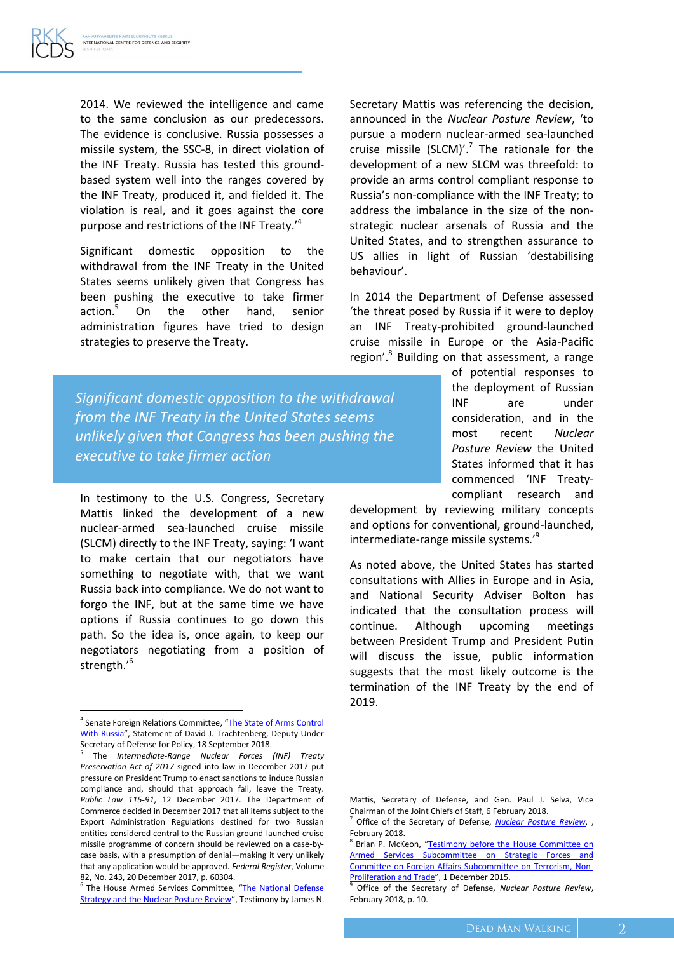2014. We reviewed the intelligence and came to the same conclusion as our predecessors. The evidence is conclusive. Russia possesses a missile system, the SSC-8, in direct violation of the INF Treaty. Russia has tested this groundbased system well into the ranges covered by the INF Treaty, produced it, and fielded it. The violation is real, and it goes against the core purpose and restrictions of the INF Treaty.'<sup>4</sup>

Significant domestic opposition to the withdrawal from the INF Treaty in the United States seems unlikely given that Congress has been pushing the executive to take firmer action.<sup>5</sup> On the other hand, senior administration figures have tried to design strategies to preserve the Treaty.

Secretary Mattis was referencing the decision, announced in the *Nuclear Posture Review*, 'to pursue a modern nuclear-armed sea-launched cruise missile (SLCM)'.<sup>7</sup> The rationale for the development of a new SLCM was threefold: to provide an arms control compliant response to Russia's non-compliance with the INF Treaty; to address the imbalance in the size of the nonstrategic nuclear arsenals of Russia and the United States, and to strengthen assurance to US allies in light of Russian 'destabilising behaviour'.

In 2014 the Department of Defense assessed 'the threat posed by Russia if it were to deploy an INF Treaty-prohibited ground-launched cruise missile in Europe or the Asia-Pacific region'.<sup>8</sup> Building on that assessment, a range

*Significant domestic opposition to the withdrawal from the INF Treaty in the United States seems unlikely given that Congress has been pushing the executive to take firmer action*

In testimony to the U.S. Congress, Secretary Mattis linked the development of a new nuclear-armed sea-launched cruise missile (SLCM) directly to the INF Treaty, saying: 'I want to make certain that our negotiators have something to negotiate with, that we want Russia back into compliance. We do not want to forgo the INF, but at the same time we have options if Russia continues to go down this path. So the idea is, once again, to keep our negotiators negotiating from a position of strength.'<sup>6</sup>

 $\overline{\phantom{a}}$ 

of potential responses to the deployment of Russian INF are under consideration, and in the most recent *Nuclear Posture Review* the United States informed that it has commenced 'INF Treatycompliant research and

development by reviewing military concepts and options for conventional, ground-launched, intermediate-range missile systems.'<sup>9</sup>

As noted above, the United States has started consultations with Allies in Europe and in Asia, and National Security Adviser Bolton has indicated that the consultation process will continue. Although upcoming meetings between President Trump and President Putin will discuss the issue, public information suggests that the most likely outcome is the termination of the INF Treaty by the end of 2019.

 $\overline{a}$ 

<sup>&</sup>lt;sup>4</sup> Senate Foreign Relations Committee, "The State of Arms Control [With Russia](https://www.foreign.senate.gov/imo/media/doc/091818_Trachtenberg_Testimony.pdf)", Statement of David J. Trachtenberg, Deputy Under Secretary of Defense for Policy, 18 September 2018.<br><sup>5</sup> The Untermediate Bange, Nuclear, Forces.

The *Intermediate-Range Nuclear Forces (INF) Treaty Preservation Act of 2017* signed into law in December 2017 put pressure on President Trump to enact sanctions to induce Russian compliance and, should that approach fail, leave the Treaty. *Public Law 115-91*, 12 December 2017. The Department of Commerce decided in December 2017 that all items subject to the Export Administration Regulations destined for two Russian entities considered central to the Russian ground-launched cruise missile programme of concern should be reviewed on a case-bycase basis, with a presumption of denial—making it very unlikely that any application would be approved. *Federal Register*, Volume 82, No. 243, 20 December 2017, p. 60304.

<sup>&</sup>lt;sup>6</sup> The House Armed Services Committee, "The National Defense [Strategy and the Nuclear Posture Review](https://armedservices.house.gov/legislation/hearings/national-defense-strategy-and-nuclear-posture-review)", Testimony by James N.

Mattis, Secretary of Defense, and Gen. Paul J. Selva, Vice Chairman of the Joint Chiefs of Staff, 6 February 2018.

<sup>7</sup> Office of the Secretary of Defense, *[Nuclear Posture Review](https://media.defense.gov/2018/Feb/02/2001872886/-1/-1/1/2018-NUCLEAR-POSTURE-REVIEW-FINAL-REPORT.PDF)*, , February 2018.

<sup>&</sup>lt;sup>8</sup> Brian P. McKeon, "Testimony before the House Committee on [Armed Services Subcommittee on Strategic Forces and](https://docs.house.gov/meetings/FA/FA18/20151201/104226/HHRG-114-FA18-Wstate-McKeonB-20151201.pdf)  [Committee on Foreign Affairs Subcommittee on Terrorism, Non-](https://docs.house.gov/meetings/FA/FA18/20151201/104226/HHRG-114-FA18-Wstate-McKeonB-20151201.pdf)**[Proliferation and Trade](https://docs.house.gov/meetings/FA/FA18/20151201/104226/HHRG-114-FA18-Wstate-McKeonB-20151201.pdf)", 1 December 2015.** 

<sup>9</sup> Office of the Secretary of Defense, *Nuclear Posture Review*, February 2018, p. 10.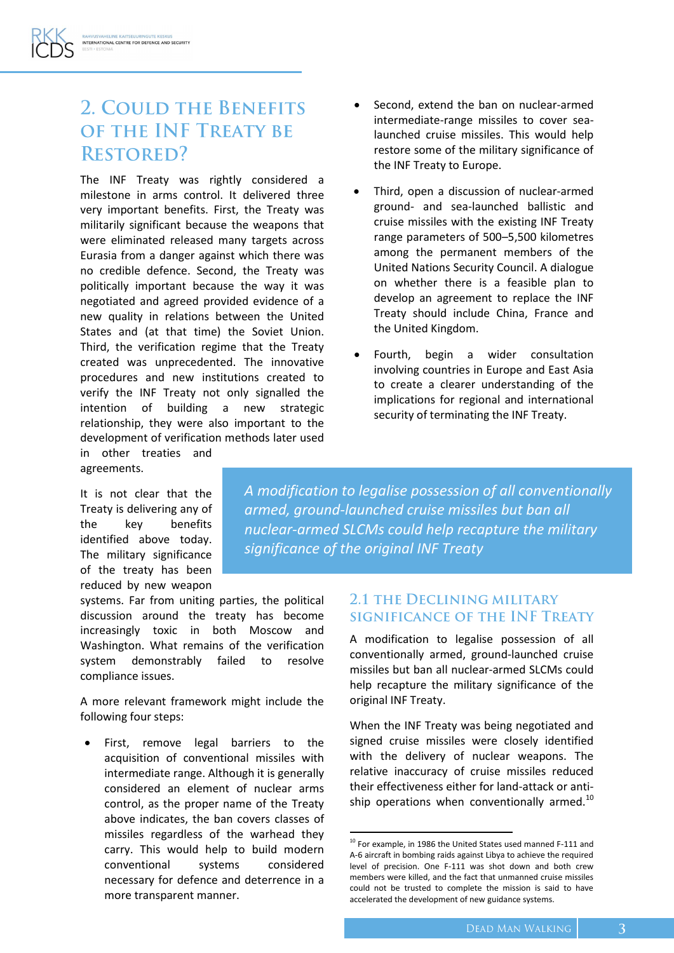### 2. COULD THE BENEFITS OF THE INF TREATY BE **RESTORED?**

The INF Treaty was rightly considered a milestone in arms control. It delivered three very important benefits. First, the Treaty was militarily significant because the weapons that were eliminated released many targets across Eurasia from a danger against which there was no credible defence. Second, the Treaty was politically important because the way it was negotiated and agreed provided evidence of a new quality in relations between the United States and (at that time) the Soviet Union. Third, the verification regime that the Treaty created was unprecedented. The innovative procedures and new institutions created to verify the INF Treaty not only signalled the intention of building a new strategic relationship, they were also important to the development of verification methods later used

- Second, extend the ban on nuclear-armed intermediate-range missiles to cover sealaunched cruise missiles. This would help restore some of the military significance of the INF Treaty to Europe.
- Third, open a discussion of nuclear-armed ground- and sea-launched ballistic and cruise missiles with the existing INF Treaty range parameters of 500–5,500 kilometres among the permanent members of the United Nations Security Council. A dialogue on whether there is a feasible plan to develop an agreement to replace the INF Treaty should include China, France and the United Kingdom.
- Fourth, begin a wider consultation involving countries in Europe and East Asia to create a clearer understanding of the implications for regional and international security of terminating the INF Treaty.

in other treaties and agreements.

It is not clear that the Treaty is delivering any of the key benefits identified above today. The military significance of the treaty has been reduced by new weapon

systems. Far from uniting parties, the political discussion around the treaty has become increasingly toxic in both Moscow and Washington. What remains of the verification system demonstrably failed to resolve compliance issues.

A more relevant framework might include the following four steps:

 First, remove legal barriers to the acquisition of conventional missiles with intermediate range. Although it is generally considered an element of nuclear arms control, as the proper name of the Treaty above indicates, the ban covers classes of missiles regardless of the warhead they carry. This would help to build modern conventional systems considered necessary for defence and deterrence in a more transparent manner.

*A modification to legalise possession of all conventionally armed, ground-launched cruise missiles but ban all nuclear-armed SLCMs could help recapture the military significance of the original INF Treaty*

#### **2.1 THE DECLINING MILITARY** SIGNIFICANCE OF THE INF TREATY

A modification to legalise possession of all conventionally armed, ground-launched cruise missiles but ban all nuclear-armed SLCMs could help recapture the military significance of the original INF Treaty.

When the INF Treaty was being negotiated and signed cruise missiles were closely identified with the delivery of nuclear weapons. The relative inaccuracy of cruise missiles reduced their effectiveness either for land-attack or antiship operations when conventionally armed. $^{10}$ 

 $10$  For example, in 1986 the United States used manned F-111 and A-6 aircraft in bombing raids against Libya to achieve the required level of precision. One F-111 was shot down and both crew members were killed, and the fact that unmanned cruise missiles could not be trusted to complete the mission is said to have accelerated the development of new guidance systems.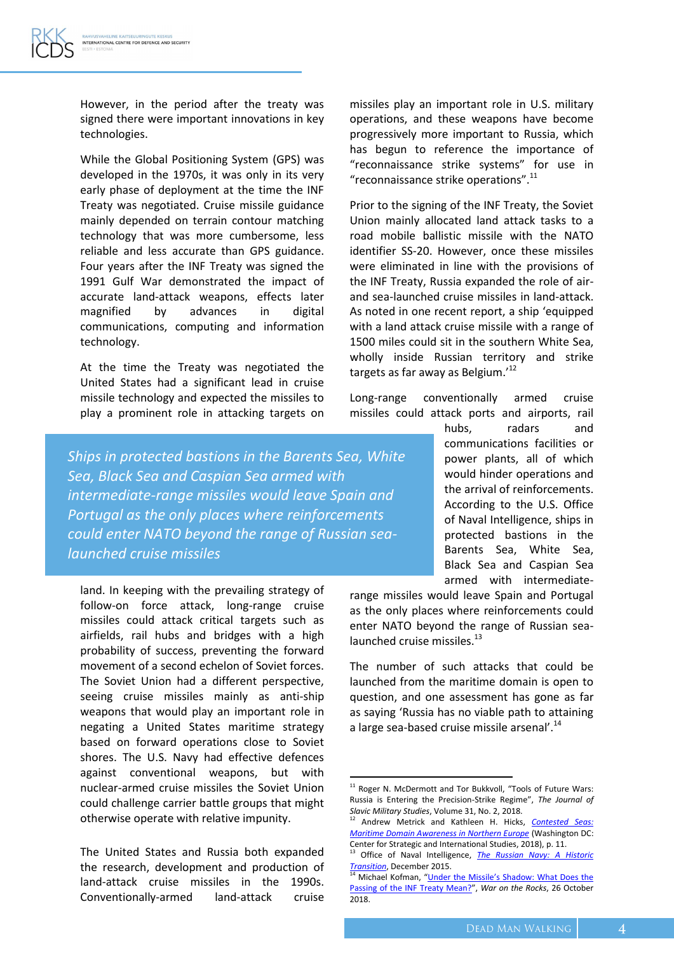However, in the period after the treaty was signed there were important innovations in key technologies.

While the Global Positioning System (GPS) was developed in the 1970s, it was only in its very early phase of deployment at the time the INF Treaty was negotiated. Cruise missile guidance mainly depended on terrain contour matching technology that was more cumbersome, less reliable and less accurate than GPS guidance. Four years after the INF Treaty was signed the 1991 Gulf War demonstrated the impact of accurate land-attack weapons, effects later magnified by advances in digital communications, computing and information technology.

At the time the Treaty was negotiated the United States had a significant lead in cruise missile technology and expected the missiles to play a prominent role in attacking targets on

*Ships in protected bastions in the Barents Sea, White Sea, Black Sea and Caspian Sea armed with intermediate-range missiles would leave Spain and Portugal as the only places where reinforcements could enter NATO beyond the range of Russian sealaunched cruise missiles*

land. In keeping with the prevailing strategy of follow-on force attack, long-range cruise missiles could attack critical targets such as airfields, rail hubs and bridges with a high probability of success, preventing the forward movement of a second echelon of Soviet forces. The Soviet Union had a different perspective, seeing cruise missiles mainly as anti-ship weapons that would play an important role in negating a United States maritime strategy based on forward operations close to Soviet shores. The U.S. Navy had effective defences against conventional weapons, but with nuclear-armed cruise missiles the Soviet Union could challenge carrier battle groups that might otherwise operate with relative impunity.

The United States and Russia both expanded the research, development and production of land-attack cruise missiles in the 1990s. Conventionally-armed land-attack cruise

missiles play an important role in U.S. military operations, and these weapons have become progressively more important to Russia, which has begun to reference the importance of "reconnaissance strike systems" for use in "reconnaissance strike operations". $^{11}$ 

Prior to the signing of the INF Treaty, the Soviet Union mainly allocated land attack tasks to a road mobile ballistic missile with the NATO identifier SS-20. However, once these missiles were eliminated in line with the provisions of the INF Treaty, Russia expanded the role of airand sea-launched cruise missiles in land-attack. As noted in one recent report, a ship 'equipped with a land attack cruise missile with a range of 1500 miles could sit in the southern White Sea, wholly inside Russian territory and strike targets as far away as Belgium.'<sup>12</sup>

Long-range conventionally armed cruise missiles could attack ports and airports, rail

> hubs, radars and communications facilities or power plants, all of which would hinder operations and the arrival of reinforcements. According to the U.S. Office of Naval Intelligence, ships in protected bastions in the Barents Sea, White Sea, Black Sea and Caspian Sea armed with intermediate-

range missiles would leave Spain and Portugal as the only places where reinforcements could enter NATO beyond the range of Russian sealaunched cruise missiles.<sup>13</sup>

The number of such attacks that could be launched from the maritime domain is open to question, and one assessment has gone as far as saying 'Russia has no viable path to attaining a large sea-based cruise missile arsenal'.<sup>14</sup>

1

<sup>&</sup>lt;sup>11</sup> Roger N. McDermott and Tor Bukkvoll, "Tools of Future Wars: Russia is Entering the Precision-Strike Regime", *The Journal of Slavic Military Studies*, Volume 31, No. 2, 2018.

<sup>12</sup> Andrew Metrick and Kathleen H. Hicks, *[Contested Seas:](https://csis-prod.s3.amazonaws.com/s3fs-public/publication/180312_MetrickHicks_ContestedSeas_Web.pdf?11CEgjXGXnp60YN8p.91jIEiJ.uPCKAg)  [Maritime Domain Awareness in Northern Europe](https://csis-prod.s3.amazonaws.com/s3fs-public/publication/180312_MetrickHicks_ContestedSeas_Web.pdf?11CEgjXGXnp60YN8p.91jIEiJ.uPCKAg)* (Washington DC: Center for Strategic and International Studies, 2018), p. 11.

<sup>13</sup> Office of Naval Intelligence, *[The Russian Navy: A Historic](http://www.dtic.mil/dtic/tr/fulltext/u2/1011686.pdf)  [Transition](http://www.dtic.mil/dtic/tr/fulltext/u2/1011686.pdf)*, December 2015.

<sup>&</sup>lt;sup>14</sup> Michael Kofman, "Under the Missile's Shadow: What Does the [Passing of the INF Treaty Mean?](https://warontherocks.com/2018/10/under-the-missiles-shadow-what-does-the-passing-of-the-inf-treaty-mean/)", *War on the Rocks*, 26 October 2018.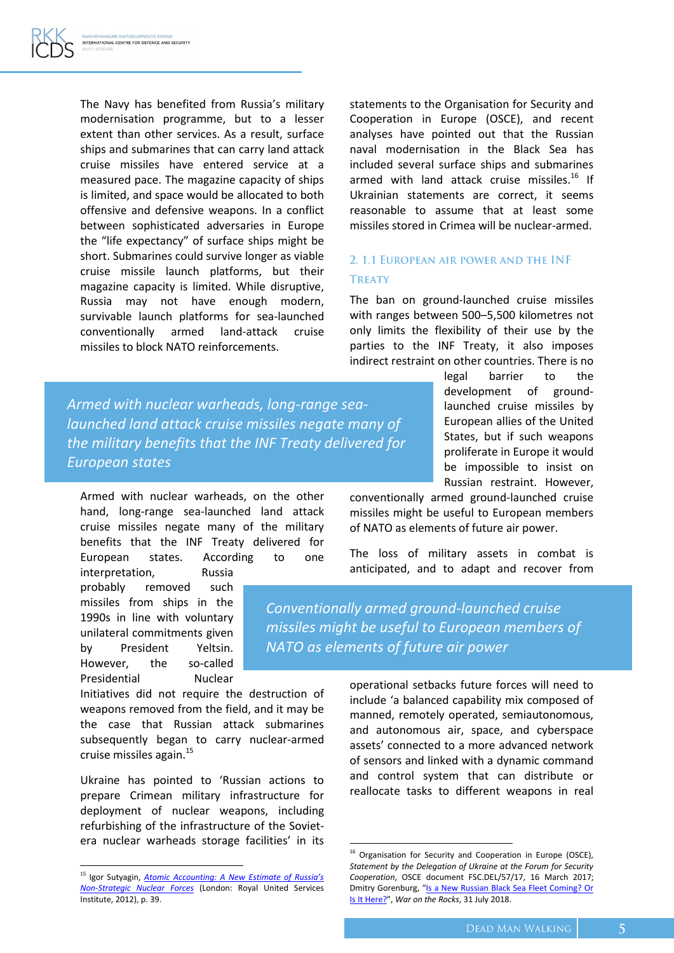The Navy has benefited from Russia's military modernisation programme, but to a lesser extent than other services. As a result, surface ships and submarines that can carry land attack cruise missiles have entered service at a measured pace. The magazine capacity of ships is limited, and space would be allocated to both offensive and defensive weapons. In a conflict between sophisticated adversaries in Europe the "life expectancy" of surface ships might be short. Submarines could survive longer as viable cruise missile launch platforms, but their magazine capacity is limited. While disruptive, Russia may not have enough modern, survivable launch platforms for sea-launched conventionally armed land-attack cruise missiles to block NATO reinforcements.

statements to the Organisation for Security and Cooperation in Europe (OSCE), and recent analyses have pointed out that the Russian naval modernisation in the Black Sea has included several surface ships and submarines armed with land attack cruise missiles.<sup>16</sup> If Ukrainian statements are correct, it seems reasonable to assume that at least some missiles stored in Crimea will be nuclear-armed.

#### 2. 1.1 EUROPEAN AIR POWER AND THE INF **TREATY**

The ban on ground-launched cruise missiles with ranges between 500–5,500 kilometres not only limits the flexibility of their use by the parties to the INF Treaty, it also imposes indirect restraint on other countries. There is no

*Armed with nuclear warheads, long-range sealaunched land attack cruise missiles negate many of the military benefits that the INF Treaty delivered for European states*

Armed with nuclear warheads, on the other hand, long-range sea-launched land attack cruise missiles negate many of the military benefits that the INF Treaty delivered for European states. According to one

interpretation, Russia probably removed such missiles from ships in the 1990s in line with voluntary unilateral commitments given by President Yeltsin. However, the so-called Presidential Nuclear

 $\overline{\phantom{a}}$ 

Initiatives did not require the destruction of weapons removed from the field, and it may be the case that Russian attack submarines subsequently began to carry nuclear-armed cruise missiles again.<sup>15</sup>

Ukraine has pointed to 'Russian actions to prepare Crimean military infrastructure for deployment of nuclear weapons, including refurbishing of the infrastructure of the Sovietera nuclear warheads storage facilities' in its legal barrier to the development of groundlaunched cruise missiles by European allies of the United States, but if such weapons proliferate in Europe it would be impossible to insist on Russian restraint. However,

conventionally armed ground-launched cruise missiles might be useful to European members of NATO as elements of future air power.

The loss of military assets in combat is anticipated, and to adapt and recover from

*Conventionally armed ground-launched cruise missiles might be useful to European members of NATO as elements of future air power*

 $\overline{a}$ 

operational setbacks future forces will need to include 'a balanced capability mix composed of manned, remotely operated, semiautonomous, and autonomous air, space, and cyberspace assets' connected to a more advanced network of sensors and linked with a dynamic command and control system that can distribute or reallocate tasks to different weapons in real

<sup>15</sup> Igor Sutyagin, *[Atomic Accounting: A New Estimate of Russia's](https://rusi.org/sites/default/files/201211_op_atomic_accounting.pdf)  [Non-Strategic Nuclear Forces](https://rusi.org/sites/default/files/201211_op_atomic_accounting.pdf)* (London: Royal United Services Institute, 2012), p. 39.

<sup>&</sup>lt;sup>16</sup> Organisation for Security and Cooperation in Europe (OSCE), *Statement by the Delegation of Ukraine at the Forum for Security Cooperation*, OSCE document FSC.DEL/57/17, 16 March 2017; Dmitry Gorenburg, "[Is a New Russian Black Sea Fleet Coming? Or](https://warontherocks.com/2018/07/is-a-new-russian-black-sea-fleet-coming-or-is-it-here/) [Is It Here?](https://warontherocks.com/2018/07/is-a-new-russian-black-sea-fleet-coming-or-is-it-here/)", *War on the Rocks*, 31 July 2018.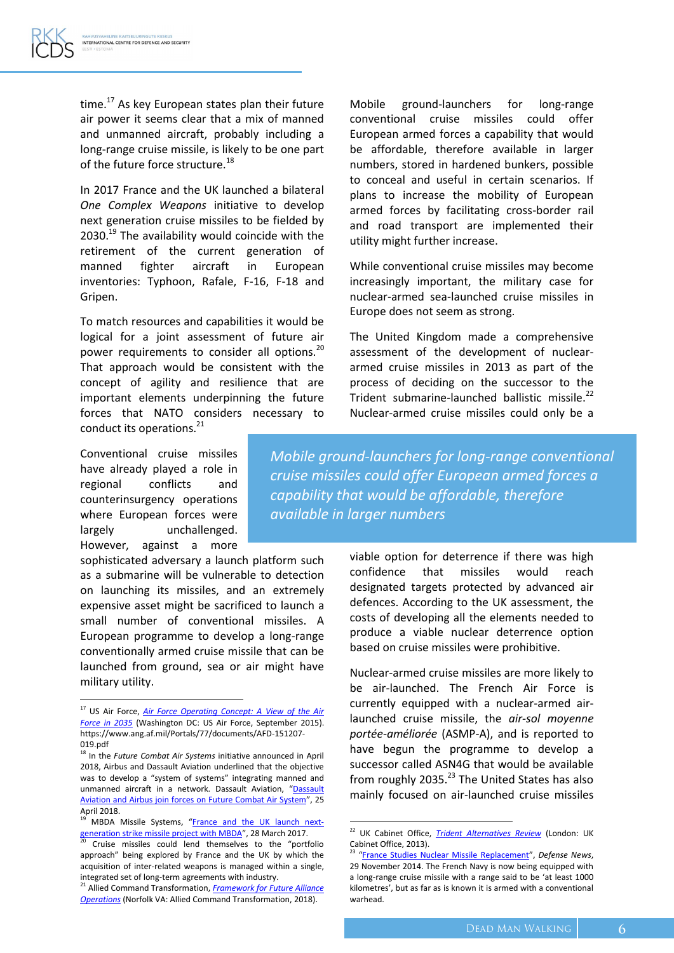time.<sup>17</sup> As key European states plan their future air power it seems clear that a mix of manned and unmanned aircraft, probably including a long-range cruise missile, is likely to be one part of the future force structure.<sup>18</sup>

In 2017 France and the UK launched a bilateral *One Complex Weapons* initiative to develop next generation cruise missiles to be fielded by 2030.<sup>19</sup> The availability would coincide with the retirement of the current generation of manned fighter aircraft in European inventories: Typhoon, Rafale, F-16, F-18 and Gripen.

To match resources and capabilities it would be logical for a joint assessment of future air power requirements to consider all options.<sup>20</sup> That approach would be consistent with the concept of agility and resilience that are important elements underpinning the future forces that NATO considers necessary to conduct its operations.<sup>21</sup>

Conventional cruise missiles have already played a role in regional conflicts and counterinsurgency operations where European forces were largely unchallenged. However, against a more

 $\overline{\phantom{a}}$ 

sophisticated adversary a launch platform such as a submarine will be vulnerable to detection on launching its missiles, and an extremely expensive asset might be sacrificed to launch a small number of conventional missiles. A European programme to develop a long-range conventionally armed cruise missile that can be launched from ground, sea or air might have military utility.

Mobile ground-launchers for long-range conventional cruise missiles could offer European armed forces a capability that would be affordable, therefore available in larger numbers, stored in hardened bunkers, possible to conceal and useful in certain scenarios. If plans to increase the mobility of European armed forces by facilitating cross-border rail and road transport are implemented their utility might further increase.

While conventional cruise missiles may become increasingly important, the military case for nuclear-armed sea-launched cruise missiles in Europe does not seem as strong.

The United Kingdom made a comprehensive assessment of the development of nucleararmed cruise missiles in 2013 as part of the process of deciding on the successor to the Trident submarine-launched ballistic missile.<sup>22</sup> Nuclear-armed cruise missiles could only be a

*Mobile ground-launchers for long-range conventional cruise missiles could offer European armed forces a capability that would be affordable, therefore available in larger numbers*

> viable option for deterrence if there was high confidence that missiles would reach designated targets protected by advanced air defences. According to the UK assessment, the costs of developing all the elements needed to produce a viable nuclear deterrence option based on cruise missiles were prohibitive.

> Nuclear-armed cruise missiles are more likely to be air-launched. The French Air Force is currently equipped with a nuclear-armed airlaunched cruise missile, the *air-sol moyenne portée-améliorée* (ASMP-A), and is reported to have begun the programme to develop a successor called ASN4G that would be available from roughly 2035. $^{23}$  The United States has also mainly focused on air-launched cruise missiles

<sup>&</sup>lt;sup>17</sup> US Air Force, <u>Air Force Operating Concept: A View of the Air</u> *[Force in 2035](https://www.ang.af.mil/Portals/77/documents/AFD-151207-019.pdf)* (Washington DC: US Air Force, September 2015). https://www.ang.af.mil/Portals/77/documents/AFD-151207- 019.pdf

<sup>18</sup> In the *Future Combat Air Systems* initiative announced in April 2018, Airbus and Dassault Aviation underlined that the objective was to develop a "system of systems" integrating manned and unmanned aircraft in a network. [Dassault](https://www.dassault-aviation.com/en/group/press/press-kits/dassault-aviation-airbus-join-forces-future-combat-air-system/) Aviation, "Dassault [Aviation and Airbus join forces on Future Combat Air System](https://www.dassault-aviation.com/en/group/press/press-kits/dassault-aviation-airbus-join-forces-future-combat-air-system/)", 25 April 2018.

<sup>&</sup>lt;sup>19</sup> MBDA Missile Systems, "[France and the UK launch next](https://www.mbda-systems.com/press-releases/france-uk-launch-next-generation-strike-missile-project-mbda/)[generation strike missile project with MBDA](https://www.mbda-systems.com/press-releases/france-uk-launch-next-generation-strike-missile-project-mbda/)", 28 March 2017.

<sup>&</sup>lt;sup>20</sup> Cruise missiles could lend themselves to the "portfolio approach" being explored by France and the UK by which the acquisition of inter-related weapons is managed within a single, integrated set of long-term agreements with industry.

<sup>21</sup> Allied Command Transformation, *[Framework for Future Alliance](https://www.act.nato.int/images/stories/media/doclibrary/180514_ffao18-txt.pdf)  [Operations](https://www.act.nato.int/images/stories/media/doclibrary/180514_ffao18-txt.pdf)* (Norfolk VA: Allied Command Transformation, 2018).

<sup>22</sup> UK Cabinet Office, *[Trident Alternatives Review](https://assets.publishing.service.gov.uk/government/uploads/system/uploads/attachment_data/file/212745/20130716_Trident_Alternatives_Study.pdf)* (London: UK Cabinet Office, 2013).

<sup>23</sup> "[France Studies Nuclear Missile Replacement](https://www.defensenews.com/global/europe/2014/11/29/france-studies-nuclear-missile-replacement/)", *Defense News*, 29 November 2014. The French Navy is now being equipped with a long-range cruise missile with a range said to be 'at least 1000 kilometres', but as far as is known it is armed with a conventional warhead.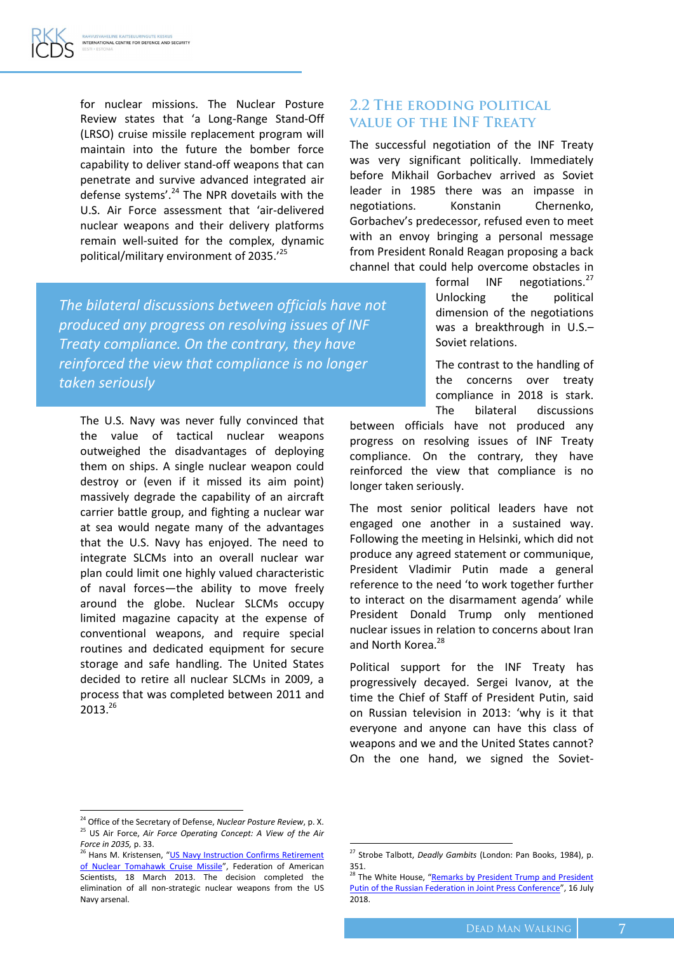for nuclear missions. The Nuclear Posture Review states that 'a Long-Range Stand-Off (LRSO) cruise missile replacement program will maintain into the future the bomber force capability to deliver stand-off weapons that can penetrate and survive advanced integrated air defense systems'. $^{24}$  The NPR dovetails with the U.S. Air Force assessment that 'air-delivered nuclear weapons and their delivery platforms remain well-suited for the complex, dynamic political/military environment of 2035.'<sup>25</sup>

#### **2.2 THE ERODING POLITICAL VALUE OF THE INF TREATY**

The successful negotiation of the INF Treaty was very significant politically. Immediately before Mikhail Gorbachev arrived as Soviet leader in 1985 there was an impasse in negotiations. Konstanin Chernenko, Gorbachev's predecessor, refused even to meet with an envoy bringing a personal message from President Ronald Reagan proposing a back channel that could help overcome obstacles in

*The bilateral discussions between officials have not produced any progress on resolving issues of INF Treaty compliance. On the contrary, they have reinforced the view that compliance is no longer taken seriously*

The U.S. Navy was never fully convinced that the value of tactical nuclear weapons outweighed the disadvantages of deploying them on ships. A single nuclear weapon could destroy or (even if it missed its aim point) massively degrade the capability of an aircraft carrier battle group, and fighting a nuclear war at sea would negate many of the advantages that the U.S. Navy has enjoyed. The need to integrate SLCMs into an overall nuclear war plan could limit one highly valued characteristic of naval forces—the ability to move freely around the globe. Nuclear SLCMs occupy limited magazine capacity at the expense of conventional weapons, and require special routines and dedicated equipment for secure storage and safe handling. The United States decided to retire all nuclear SLCMs in 2009, a process that was completed between 2011 and 2013. 26

formal INF negotiations.<sup>27</sup> Unlocking the political dimension of the negotiations was a breakthrough in U.S.– Soviet relations.

The contrast to the handling of the concerns over treaty compliance in 2018 is stark. The bilateral discussions

between officials have not produced any progress on resolving issues of INF Treaty compliance. On the contrary, they have reinforced the view that compliance is no longer taken seriously.

The most senior political leaders have not engaged one another in a sustained way. Following the meeting in Helsinki, which did not produce any agreed statement or communique, President Vladimir Putin made a general reference to the need 'to work together further to interact on the disarmament agenda' while President Donald Trump only mentioned nuclear issues in relation to concerns about Iran and North Korea.<sup>28</sup>

Political support for the INF Treaty has progressively decayed. Sergei Ivanov, at the time the Chief of Staff of President Putin, said on Russian television in 2013: 'why is it that everyone and anyone can have this class of weapons and we and the United States cannot? On the one hand, we signed the Soviet-

 $\overline{a}$ 

 $\overline{a}$ 

<sup>24</sup> Office of the Secretary of Defense, *Nuclear Posture Review*, p. X. <sup>25</sup> US Air Force, *Air Force Operating Concept: A View of the Air Force in 2035,* p. 33.

<sup>&</sup>lt;sup>26</sup> Hans M. Kristensen, "US Navy Instruction Confirms Retirement [of Nuclear Tomahawk Cruise Missile](https://fas.org/blogs/security/2013/03/tomahawk/)", Federation of American Scientists, 18 March 2013. The decision completed the elimination of all non-strategic nuclear weapons from the US Navy arsenal.

<sup>27</sup> Strobe Talbott, *Deadly Gambits* (London: Pan Books, 1984), p. 351.

<sup>28</sup> The White House, "Remarks by President Trump and President [Putin of the Russian Federation in Joint Press Conference](https://www.whitehouse.gov/briefings-statements/remarks-president-trump-president-putin-russian-federation-joint-press-conference/)", 16 July 2018.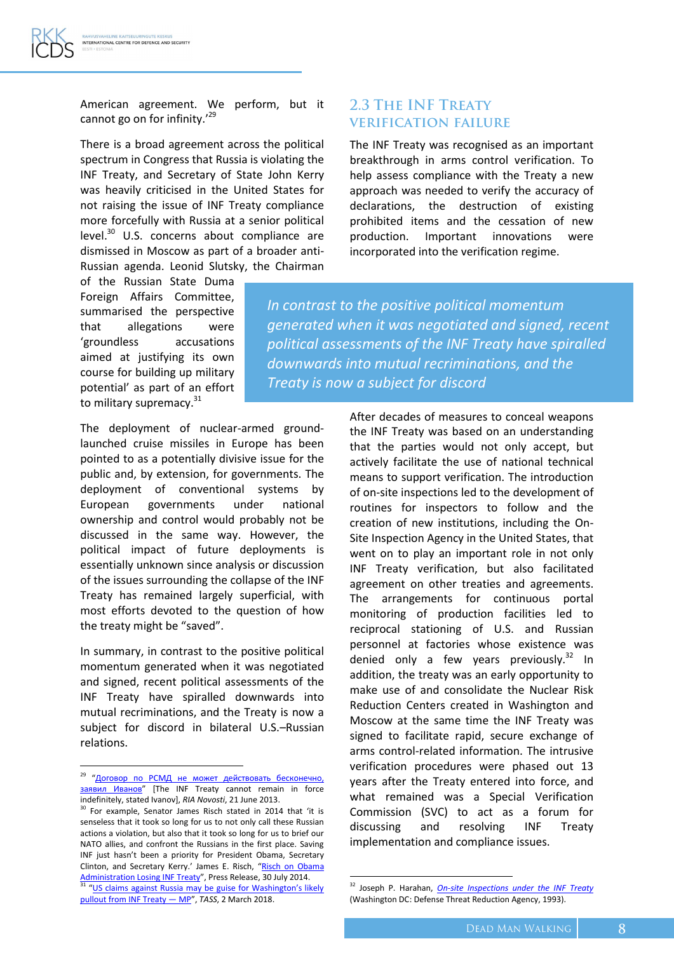American agreement. We perform, but it cannot go on for infinity.'<sup>29</sup>

There is a broad agreement across the political spectrum in Congress that Russia is violating the INF Treaty, and Secretary of State John Kerry was heavily criticised in the United States for not raising the issue of INF Treaty compliance more forcefully with Russia at a senior political level.<sup>30</sup> U.S. concerns about compliance are dismissed in Moscow as part of a broader anti-Russian agenda. Leonid Slutsky, the Chairman

of the Russian State Duma Foreign Affairs Committee, summarised the perspective that allegations were 'groundless accusations aimed at justifying its own course for building up military potential' as part of an effort to military supremacy.<sup>31</sup>

The deployment of nuclear-armed groundlaunched cruise missiles in Europe has been pointed to as a potentially divisive issue for the public and, by extension, for governments. The deployment of conventional systems by European governments under national ownership and control would probably not be discussed in the same way. However, the political impact of future deployments is essentially unknown since analysis or discussion of the issues surrounding the collapse of the INF Treaty has remained largely superficial, with most efforts devoted to the question of how the treaty might be "saved".

In summary, in contrast to the positive political momentum generated when it was negotiated and signed, recent political assessments of the INF Treaty have spiralled downwards into mutual recriminations, and the Treaty is now a subject for discord in bilateral U.S.–Russian relations.

 $\overline{a}$ 

#### **2.3 THE INF TREATY VERIFICATION FAILURE**

The INF Treaty was recognised as an important breakthrough in arms control verification. To help assess compliance with the Treaty a new approach was needed to verify the accuracy of declarations, the destruction of existing prohibited items and the cessation of new production. Important innovations were incorporated into the verification regime.

*In contrast to the positive political momentum generated when it was negotiated and signed, recent political assessments of the INF Treaty have spiralled downwards into mutual recriminations, and the Treaty is now a subject for discord*

> After decades of measures to conceal weapons the INF Treaty was based on an understanding that the parties would not only accept, but actively facilitate the use of national technical means to support verification. The introduction of on-site inspections led to the development of routines for inspectors to follow and the creation of new institutions, including the On-Site Inspection Agency in the United States, that went on to play an important role in not only INF Treaty verification, but also facilitated agreement on other treaties and agreements. The arrangements for continuous portal monitoring of production facilities led to reciprocal stationing of U.S. and Russian personnel at factories whose existence was denied only a few years previously. $32$  In addition, the treaty was an early opportunity to make use of and consolidate the Nuclear Risk Reduction Centers created in Washington and Moscow at the same time the INF Treaty was signed to facilitate rapid, secure exchange of arms control-related information. The intrusive verification procedures were phased out 13 years after the Treaty entered into force, and what remained was a Special Verification Commission (SVC) to act as a forum for discussing and resolving INF Treaty implementation and compliance issues.

<sup>&</sup>lt;sup>29</sup> "Договор по РСМД не может [действовать](https://ria.ru/defense_safety/20130621/945019919.html) бесконечно<u>,</u> заявил [Иванов"](https://ria.ru/defense_safety/20130621/945019919.html) [The INF Treaty cannot remain in force indefinitely, stated Ivanov], *RIA Novosti*, 21 June 2013.

<sup>&</sup>lt;sup>30</sup> For example, Senator James Risch stated in 2014 that 'it is senseless that it took so long for us to not only call these Russian actions a violation, but also that it took so long for us to brief our NATO allies, and confront the Russians in the first place. Saving INF just hasn't been a priority for President Obama, Secretary Clinton, and Secretary Kerry.' James E. Risch, "[Risch on Obama](https://www.risch.senate.gov/public/index.cfm/2014/7/risch-on-obama-administration-losing-inf-treaty)  [Administration Losing INF Treaty](https://www.risch.senate.gov/public/index.cfm/2014/7/risch-on-obama-administration-losing-inf-treaty)", Press Release, 30 July 2014. <sup>31</sup> "US claims against Russia may be guise for Washington's likely [pullout from INF Treaty](http://tass.com/politics/992438) — MP", *TASS*, 2 March 2018.

<sup>32</sup> Joseph P. Harahan, *[On-site Inspections under the INF Treaty](http://www.dtra.mil/Portals/61/Documents/History/On-Site%20Inspections%20INF%20Treaty-opt.pdf)* (Washington DC: Defense Threat Reduction Agency, 1993).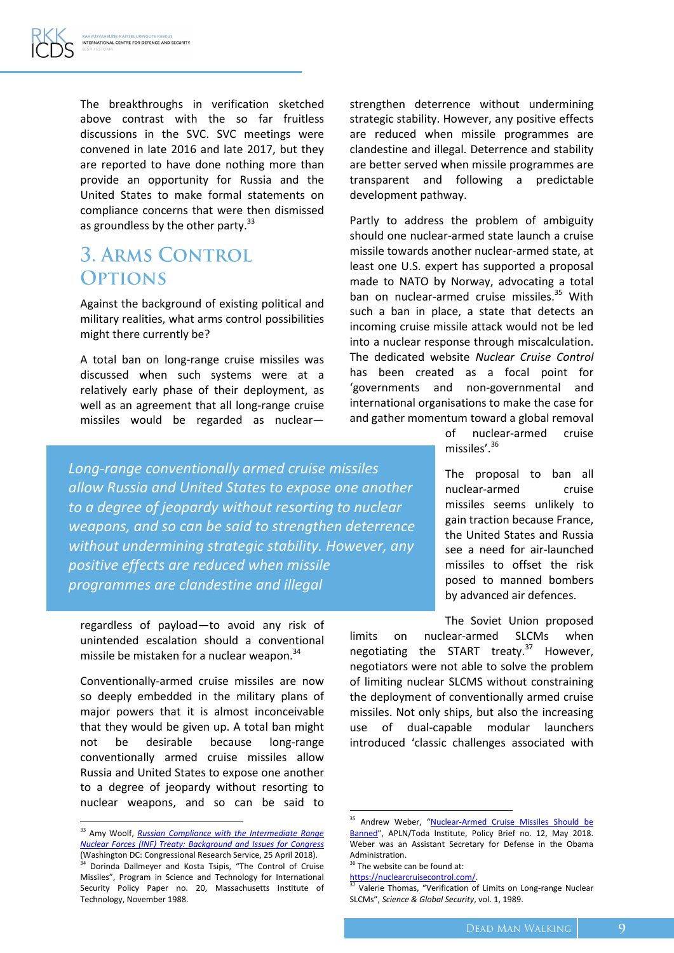The breakthroughs in verification sketched above contrast with the so far fruitless discussions in the SVC. SVC meetings were convened in late 2016 and late 2017, but they are reported to have done nothing more than provide an opportunity for Russia and the United States to make formal statements on compliance concerns that were then dismissed as groundless by the other party.<sup>33</sup>

### **3. ARMS CONTROL OPTIONS**

Against the background of existing political and military realities, what arms control possibilities might there currently be?

A total ban on long-range cruise missiles was discussed when such systems were at a relatively early phase of their deployment, as well as an agreement that all long-range cruise missiles would be regarded as nuclearstrengthen deterrence without undermining strategic stability. However, any positive effects are reduced when missile programmes are clandestine and illegal. Deterrence and stability are better served when missile programmes are transparent and following a predictable development pathway.

Partly to address the problem of ambiguity should one nuclear-armed state launch a cruise missile towards another nuclear-armed state, at least one U.S. expert has supported a proposal made to NATO by Norway, advocating a total ban on nuclear-armed cruise missiles.<sup>35</sup> With such a ban in place, a state that detects an incoming cruise missile attack would not be led into a nuclear response through miscalculation. The dedicated website *Nuclear Cruise Control* has been created as a focal point for 'governments and non-governmental and international organisations to make the case for and gather momentum toward a global removal

> of nuclear-armed cruise missiles'.<sup>36</sup>

The proposal to ban all nuclear-armed cruise missiles seems unlikely to gain traction because France, the United States and Russia see a need for air-launched missiles to offset the risk posed to manned bombers by advanced air defences.

The Soviet Union proposed limits on nuclear-armed SLCMs when negotiating the START treaty. $37$  However,

negotiators were not able to solve the problem of limiting nuclear SLCMS without constraining the deployment of conventionally armed cruise missiles. Not only ships, but also the increasing use of dual-capable modular launchers introduced 'classic challenges associated with

1

*Long-range conventionally armed cruise missiles allow Russia and United States to expose one another to a degree of jeopardy without resorting to nuclear weapons, and so can be said to strengthen deterrence without undermining strategic stability. However, any positive effects are reduced when missile programmes are clandestine and illegal*

regardless of payload—to avoid any risk of unintended escalation should a conventional missile be mistaken for a nuclear weapon.<sup>34</sup>

Conventionally-armed cruise missiles are now so deeply embedded in the military plans of major powers that it is almost inconceivable that they would be given up. A total ban might not be desirable because long-range conventionally armed cruise missiles allow Russia and United States to expose one another to a degree of jeopardy without resorting to nuclear weapons, and so can be said to

 $\overline{\phantom{a}}$ 

<sup>&</sup>lt;sup>35</sup> Andrew Weber, "Nuclear-Armed Cruise Missiles Should be [Banned](http://toda.org/files/policy_briefs/T-PB-12_Weber_Cruise-missiles.pdf)", APLN/Toda Institute, Policy Brief no. 12, May 2018. Weber was an Assistant Secretary for Defense in the Obama Administration.

 $36$  The website can be found at:

[https://nuclearcruisecontrol.com/.](https://nuclearcruisecontrol.com/)

**<sup>37</sup>** Valerie Thomas, "Verification of Limits on Long-range Nuclear SLCMs", *Science & Global Security*, vol. 1, 1989.

<sup>33</sup> Amy Woolf, *[Russian Compliance with the Intermediate Range](https://fas.org/sgp/crs/nuke/R43832.pdf)  [Nuclear Forces \(INF\) Treaty: Background and Issues for Congress](https://fas.org/sgp/crs/nuke/R43832.pdf)* (Washington DC: Congressional Research Service, 25 April 2018).

<sup>&</sup>lt;sup>34</sup> Dorinda Dallmeyer and Kosta Tsipis, "The Control of Cruise Missiles", Program in Science and Technology for International Security Policy Paper no. 20, Massachusetts Institute of Technology, November 1988.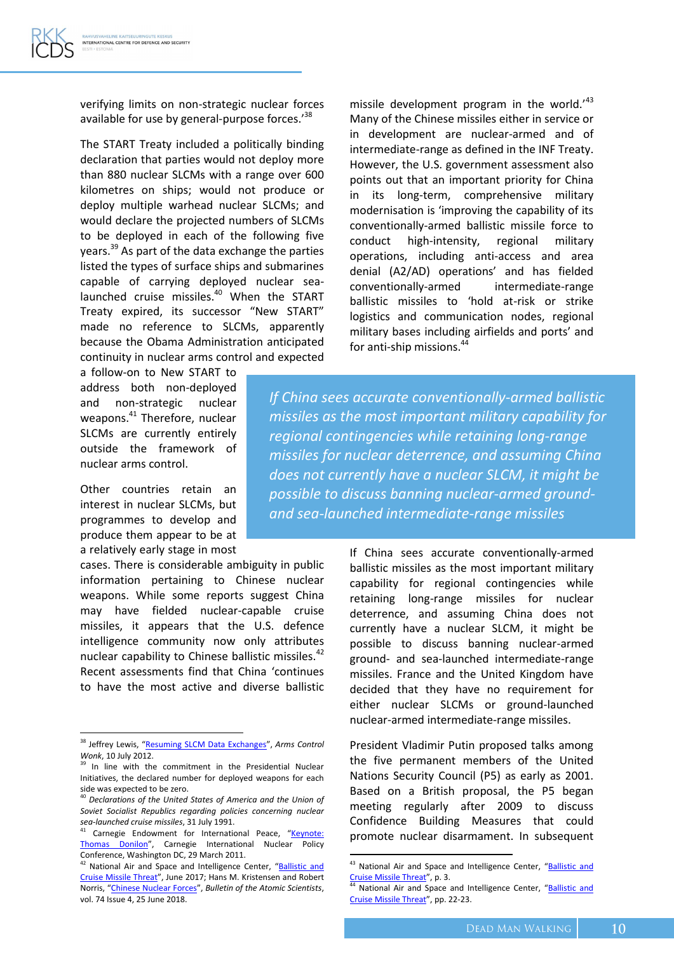verifying limits on non-strategic nuclear forces available for use by general-purpose forces.<sup>38</sup>

The START Treaty included a politically binding declaration that parties would not deploy more than 880 nuclear SLCMs with a range over 600 kilometres on ships; would not produce or deploy multiple warhead nuclear SLCMs; and would declare the projected numbers of SLCMs to be deployed in each of the following five years.<sup>39</sup> As part of the data exchange the parties listed the types of surface ships and submarines capable of carrying deployed nuclear sealaunched cruise missiles.<sup>40</sup> When the START Treaty expired, its successor "New START" made no reference to SLCMs, apparently because the Obama Administration anticipated continuity in nuclear arms control and expected

a follow-on to New START to address both non-deployed and non-strategic nuclear weapons.<sup>41</sup> Therefore, nuclear SLCMs are currently entirely outside the framework of nuclear arms control.

Other countries retain an interest in nuclear SLCMs, but programmes to develop and produce them appear to be at a relatively early stage in most

 $\overline{a}$ 

cases. There is considerable ambiguity in public information pertaining to Chinese nuclear weapons. While some reports suggest China may have fielded nuclear-capable cruise missiles, it appears that the U.S. defence intelligence community now only attributes nuclear capability to Chinese ballistic missiles.<sup>42</sup> Recent assessments find that China 'continues to have the most active and diverse ballistic

missile development program in the world.<sup> $43$ </sup> Many of the Chinese missiles either in service or in development are nuclear-armed and of intermediate-range as defined in the INF Treaty. However, the U.S. government assessment also points out that an important priority for China in its long-term, comprehensive military modernisation is 'improving the capability of its conventionally-armed ballistic missile force to conduct high-intensity, regional military operations, including anti-access and area denial (A2/AD) operations' and has fielded conventionally-armed intermediate-range ballistic missiles to 'hold at-risk or strike logistics and communication nodes, regional military bases including airfields and ports' and for anti-ship missions.<sup>44</sup>

*If China sees accurate conventionally-armed ballistic missiles as the most important military capability for regional contingencies while retaining long-range missiles for nuclear deterrence, and assuming China does not currently have a nuclear SLCM, it might be possible to discuss banning nuclear-armed groundand sea-launched intermediate-range missiles*

> If China sees accurate conventionally-armed ballistic missiles as the most important military capability for regional contingencies while retaining long-range missiles for nuclear deterrence, and assuming China does not currently have a nuclear SLCM, it might be possible to discuss banning nuclear-armed ground- and sea-launched intermediate-range missiles. France and the United Kingdom have decided that they have no requirement for either nuclear SLCMs or ground-launched nuclear-armed intermediate-range missiles.

> President Vladimir Putin proposed talks among the five permanent members of the United Nations Security Council (P5) as early as 2001. Based on a British proposal, the P5 began meeting regularly after 2009 to discuss Confidence Building Measures that could promote nuclear disarmament. In subsequent

<sup>38</sup> Jeffrey Lewis, "[Resuming SLCM Data Exchanges](https://www.armscontrolwonk.com/archive/205478/resuming-slcm-data-exchanges/)", *Arms Control Wonk*, 10 July 2012.

<sup>&</sup>lt;sup>39</sup> In line with the commitment in the Presidential Nuclear Initiatives, the declared number for deployed weapons for each side was expected to be zero.

<sup>40</sup> *Declarations of the United States of America and the Union of Soviet Socialist Republics regarding policies concerning nuclear sea-launched cruise missiles*, 31 July 1991.

<sup>&</sup>lt;sup>41</sup> Carnegie Endowment for International Peace, "Keynote: [Thomas Donilon](https://carnegieendowment.org/2011/03/29/keynote-thomas-donilon-pub-43486)", Carnegie International Nuclear Policy Conference, Washington DC, 29 March 2011.

<sup>&</sup>lt;sup>42</sup> National Air and Space and Intelligence Center, "Ballistic and [Cruise Missile Threat](https://www.nasic.af.mil/Portals/19/images/Fact%20Sheet%20Images/2017%20Ballistic%20and%20Cruise%20Missile%20Threat_Final_small.pdf?ver=2017-07-21-083234-343)", June 2017; Hans M. Kristensen and Robert Norris, "[Chinese Nuclear Forces](https://thebulletin.org/2018/06/chinese-nuclear-forces-2018/)", *Bulletin of the Atomic Scientists*, vol. 74 Issue 4, 25 June 2018.

<sup>&</sup>lt;sup>43</sup> National Air and Space and Intelligence Center, "Ballistic and [Cruise Missile Threat](https://www.nasic.af.mil/Portals/19/images/Fact%20Sheet%20Images/2017%20Ballistic%20and%20Cruise%20Missile%20Threat_Final_small.pdf?ver=2017-07-21-083234-343)", p. 3.

<sup>&</sup>lt;sup>44</sup> National Air and Space and Intelligence Center, "Ballistic and [Cruise Missile Threat](https://www.nasic.af.mil/Portals/19/images/Fact%20Sheet%20Images/2017%20Ballistic%20and%20Cruise%20Missile%20Threat_Final_small.pdf?ver=2017-07-21-083234-343)", pp. 22-23.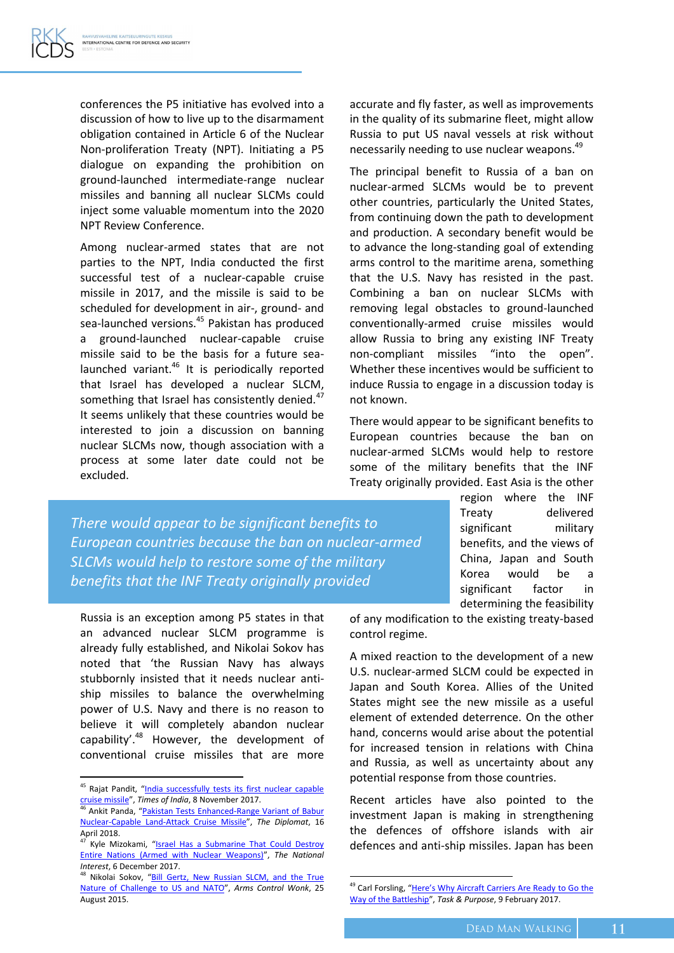conferences the P5 initiative has evolved into a discussion of how to live up to the disarmament obligation contained in Article 6 of the Nuclear Non-proliferation Treaty (NPT). Initiating a P5 dialogue on expanding the prohibition on ground-launched intermediate-range nuclear missiles and banning all nuclear SLCMs could inject some valuable momentum into the 2020 NPT Review Conference.

Among nuclear-armed states that are not parties to the NPT, India conducted the first successful test of a nuclear-capable cruise missile in 2017, and the missile is said to be scheduled for development in air-, ground- and sea-launched versions.<sup>45</sup> Pakistan has produced a ground-launched nuclear-capable cruise missile said to be the basis for a future sealaunched variant.<sup>46</sup> It is periodically reported that Israel has developed a nuclear SLCM, something that Israel has consistently denied.<sup>47</sup> It seems unlikely that these countries would be interested to join a discussion on banning nuclear SLCMs now, though association with a process at some later date could not be excluded.

accurate and fly faster, as well as improvements in the quality of its submarine fleet, might allow Russia to put US naval vessels at risk without necessarily needing to use nuclear weapons.<sup>49</sup>

The principal benefit to Russia of a ban on nuclear-armed SLCMs would be to prevent other countries, particularly the United States, from continuing down the path to development and production. A secondary benefit would be to advance the long-standing goal of extending arms control to the maritime arena, something that the U.S. Navy has resisted in the past. Combining a ban on nuclear SLCMs with removing legal obstacles to ground-launched conventionally-armed cruise missiles would allow Russia to bring any existing INF Treaty non-compliant missiles "into the open". Whether these incentives would be sufficient to induce Russia to engage in a discussion today is not known.

There would appear to be significant benefits to European countries because the ban on nuclear-armed SLCMs would help to restore some of the military benefits that the INF Treaty originally provided. East Asia is the other

> region where the INF Treaty delivered significant military benefits, and the views of China, Japan and South Korea would be a significant factor in determining the feasibility

*There would appear to be significant benefits to European countries because the ban on nuclear-armed SLCMs would help to restore some of the military benefits that the INF Treaty originally provided*

Russia is an exception among P5 states in that an advanced nuclear SLCM programme is already fully established, and Nikolai Sokov has noted that 'the Russian Navy has always stubbornly insisted that it needs nuclear antiship missiles to balance the overwhelming power of U.S. Navy and there is no reason to believe it will completely abandon nuclear capability'. $48$  However, the development of conventional cruise missiles that are more

 $\overline{a}$ 

of any modification to the existing treaty-based control regime.

A mixed reaction to the development of a new U.S. nuclear-armed SLCM could be expected in Japan and South Korea. Allies of the United States might see the new missile as a useful element of extended deterrence. On the other hand, concerns would arise about the potential for increased tension in relations with China and Russia, as well as uncertainty about any potential response from those countries.

Recent articles have also pointed to the investment Japan is making in strengthening the defences of offshore islands with air defences and anti-ship missiles. Japan has been

<sup>&</sup>lt;sup>45</sup> Rajat Pandit, "India successfully tests its first nuclear capable [cruise missile](https://www.drdo.gov.in/drdo/pub/npc/2017/november/din-08november2017.pdf)", *Times of India*, 8 November 2017.

<sup>&</sup>lt;sup>46</sup> Ankit Panda, "Pakistan Tests Enhanced-Range Variant of Babur [Nuclear-Capable Land-Attack Cruise Missile](https://thediplomat.com/2018/04/pakistan-tests-enhanced-range-variant-of-babur-nuclear-capable-land-attack-cruise-missile/)", *The Diplomat*, 16 April 2018.

Kyle Mizokami, "Israel Has a Submarine That Could Destroy [Entire Nations \(Armed with Nuclear Weapons\)](https://nationalinterest.org/blog/the-buzz/israel-has-submarine-could-destroy-entire-nations-armed-23520)", *The National Interest*, 6 December 2017.

<sup>&</sup>lt;sup>48</sup> Nikolai Sokov, "Bill Gertz, New Russian SLCM, and the True [Nature of Challenge to US and NATO](https://www.armscontrolwonk.com/archive/207801/sokov-on-russian-cruise-missiles/)", *Arms Control Wonk*, 25 August 2015.

<sup>&</sup>lt;sup>49</sup> Carl Forsling, ["Here's Why Aircraft Carriers Are Ready](https://taskandpurpose.com/heres-aircraft-carriers-ready-go-way-battleship/) to Go the [Way of the Battleship](https://taskandpurpose.com/heres-aircraft-carriers-ready-go-way-battleship/)", *Task & Purpose*, 9 February 2017.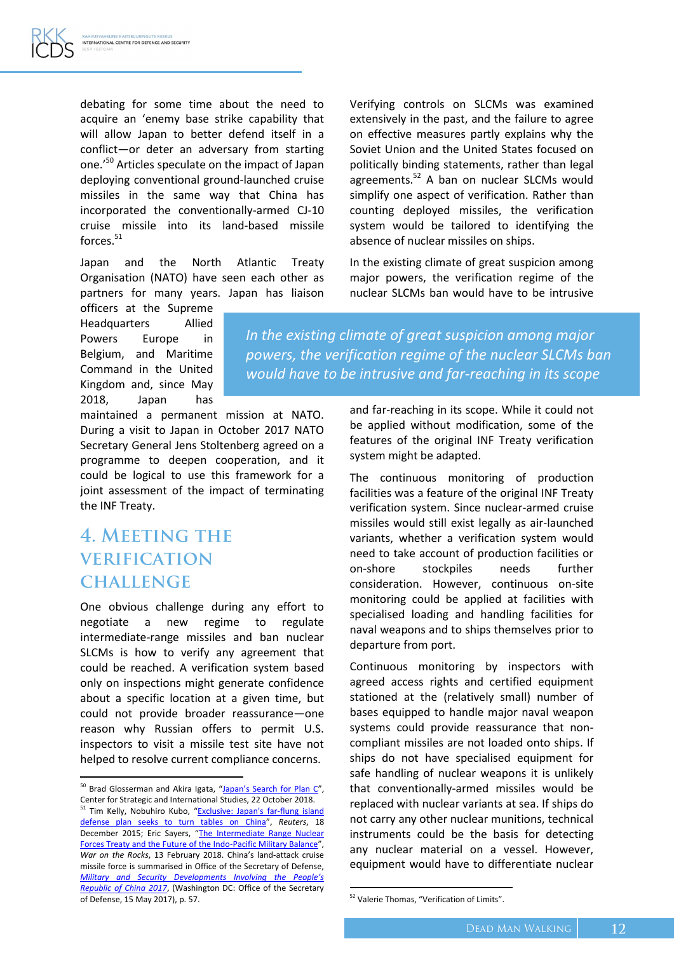debating for some time about the need to acquire an 'enemy base strike capability that will allow Japan to better defend itself in a conflict—or deter an adversary from starting one.'<sup>50</sup> Articles speculate on the impact of Japan deploying conventional ground-launched cruise missiles in the same way that China has incorporated the conventionally-armed CJ-10 cruise missile into its land-based missile forces.<sup>51</sup>

Japan and the North Atlantic Treaty Organisation (NATO) have seen each other as partners for many years. Japan has liaison

officers at the Supreme Headquarters Allied Powers Europe in Belgium, and Maritime Command in the United Kingdom and, since May 2018, Japan has

maintained a permanent mission at NATO. During a visit to Japan in October 2017 NATO Secretary General Jens Stoltenberg agreed on a programme to deepen cooperation, and it could be logical to use this framework for a joint assessment of the impact of terminating the INF Treaty.

### 4. MEETING THE **VERIFICATION CHALLENGE**

 $\overline{a}$ 

One obvious challenge during any effort to negotiate a new regime to regulate intermediate-range missiles and ban nuclear SLCMs is how to verify any agreement that could be reached. A verification system based only on inspections might generate confidence about a specific location at a given time, but could not provide broader reassurance—one reason why Russian offers to permit U.S. inspectors to visit a missile test site have not helped to resolve current compliance concerns.

Verifying controls on SLCMs was examined extensively in the past, and the failure to agree on effective measures partly explains why the Soviet Union and the United States focused on politically binding statements, rather than legal agreements.<sup>52</sup> A ban on nuclear SLCMs would simplify one aspect of verification. Rather than counting deployed missiles, the verification system would be tailored to identifying the absence of nuclear missiles on ships.

In the existing climate of great suspicion among major powers, the verification regime of the nuclear SLCMs ban would have to be intrusive

*In the existing climate of great suspicion among major powers, the verification regime of the nuclear SLCMs ban would have to be intrusive and far-reaching in its scope*

> and far-reaching in its scope. While it could not be applied without modification, some of the features of the original INF Treaty verification system might be adapted.

> The continuous monitoring of production facilities was a feature of the original INF Treaty verification system. Since nuclear-armed cruise missiles would still exist legally as air-launched variants, whether a verification system would need to take account of production facilities or on-shore stockpiles needs further consideration. However, continuous on-site monitoring could be applied at facilities with specialised loading and handling facilities for naval weapons and to ships themselves prior to departure from port.

> Continuous monitoring by inspectors with agreed access rights and certified equipment stationed at the (relatively small) number of bases equipped to handle major naval weapon systems could provide reassurance that noncompliant missiles are not loaded onto ships. If ships do not have specialised equipment for safe handling of nuclear weapons it is unlikely that conventionally-armed missiles would be replaced with nuclear variants at sea. If ships do not carry any other nuclear munitions, technical instruments could be the basis for detecting any nuclear material on a vessel. However, equipment would have to differentiate nuclear

<sup>&</sup>lt;sup>50</sup> Brad Glosserman and Akira Igata, ["Japan's Search for Plan C"](https://www.pacforum.org/analysis/pacnet-70-japans-search-plan-c), Center for Strategic and International Studies, 22 October 2018. <sup>51</sup> Tim Kelly, Nobuhiro Kubo, "Exclusive: Japan's far-flung island

[defense plan seeks to turn tables on China](https://www.reuters.com/article/us-japan-military-china-exclusive/exclusive-japans-far-flung-island-defense-plan-seeks-to-turn-tables-on-china-idUSKBN0U107220151218)", *Reuters*, 18 December 2015; Eric Sayers, "[The Intermediate Range Nuclear](https://warontherocks.com/2018/02/asia-inf/)  [Forces Treaty and the Future of the Indo-Pacific Military Balance](https://warontherocks.com/2018/02/asia-inf/)", *War on the Rocks*, 13 February 2018. China's land-attack cruise missile force is summarised in Office of the Secretary of Defense, *[Military and Security Developments Involving the People's](https://media.defense.gov/2018/Aug/16/2001955282/-1/-1/1/2018-CHINA-MILITARY-POWER-REPORT.PDF)  [Republic of China 2017](https://media.defense.gov/2018/Aug/16/2001955282/-1/-1/1/2018-CHINA-MILITARY-POWER-REPORT.PDF)*, (Washington DC: Office of the Secretary of Defense, 15 May 2017), p. 57.

<sup>&</sup>lt;sup>52</sup> Valerie Thomas, "Verification of Limits".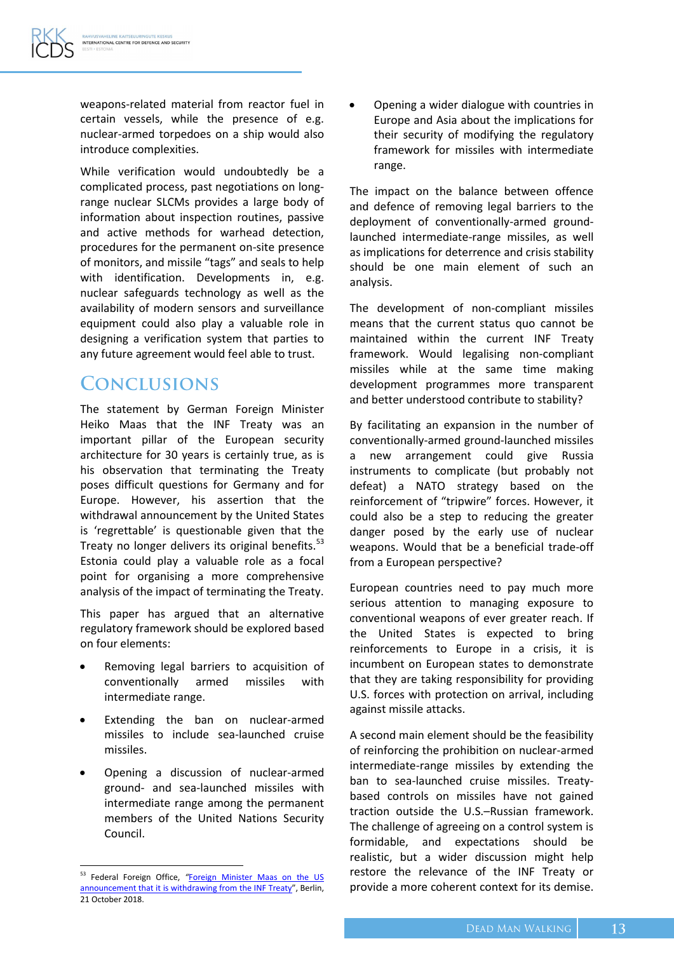weapons-related material from reactor fuel in certain vessels, while the presence of e.g. nuclear-armed torpedoes on a ship would also introduce complexities.

While verification would undoubtedly be a complicated process, past negotiations on longrange nuclear SLCMs provides a large body of information about inspection routines, passive and active methods for warhead detection, procedures for the permanent on-site presence of monitors, and missile "tags" and seals to help with identification. Developments in, e.g. nuclear safeguards technology as well as the availability of modern sensors and surveillance equipment could also play a valuable role in designing a verification system that parties to any future agreement would feel able to trust.

## **CONCLUSIONS**

The statement by German Foreign Minister Heiko Maas that the INF Treaty was an important pillar of the European security architecture for 30 years is certainly true, as is his observation that terminating the Treaty poses difficult questions for Germany and for Europe. However, his assertion that the withdrawal announcement by the United States is 'regrettable' is questionable given that the Treaty no longer delivers its original benefits.<sup>53</sup> Estonia could play a valuable role as a focal point for organising a more comprehensive analysis of the impact of terminating the Treaty.

This paper has argued that an alternative regulatory framework should be explored based on four elements:

- Removing legal barriers to acquisition of conventionally armed missiles with intermediate range.
- Extending the ban on nuclear-armed missiles to include sea-launched cruise missiles.
- Opening a discussion of nuclear-armed ground- and sea-launched missiles with intermediate range among the permanent members of the United Nations Security Council.

 Opening a wider dialogue with countries in Europe and Asia about the implications for their security of modifying the regulatory framework for missiles with intermediate range.

The impact on the balance between offence and defence of removing legal barriers to the deployment of conventionally-armed groundlaunched intermediate-range missiles, as well as implications for deterrence and crisis stability should be one main element of such an analysis.

The development of non-compliant missiles means that the current status quo cannot be maintained within the current INF Treaty framework. Would legalising non-compliant missiles while at the same time making development programmes more transparent and better understood contribute to stability?

By facilitating an expansion in the number of conventionally-armed ground-launched missiles a new arrangement could give Russia instruments to complicate (but probably not defeat) a NATO strategy based on the reinforcement of "tripwire" forces. However, it could also be a step to reducing the greater danger posed by the early use of nuclear weapons. Would that be a beneficial trade-off from a European perspective?

European countries need to pay much more serious attention to managing exposure to conventional weapons of ever greater reach. If the United States is expected to bring reinforcements to Europe in a crisis, it is incumbent on European states to demonstrate that they are taking responsibility for providing U.S. forces with protection on arrival, including against missile attacks.

A second main element should be the feasibility of reinforcing the prohibition on nuclear-armed intermediate-range missiles by extending the ban to sea-launched cruise missiles. Treatybased controls on missiles have not gained traction outside the U.S.–Russian framework. The challenge of agreeing on a control system is formidable, and expectations should be realistic, but a wider discussion might help restore the relevance of the INF Treaty or provide a more coherent context for its demise.

 $\overline{\phantom{a}}$ <sup>53</sup> Federal Foreign Office, *"*[Foreign Minister Maas on the US](https://www.auswaertiges-amt.de/en/newsroom/news/maas-inf-treaty/2151874)  [announcement that it is withdrawing from the INF Treaty](https://www.auswaertiges-amt.de/en/newsroom/news/maas-inf-treaty/2151874)", Berlin, 21 October 2018.